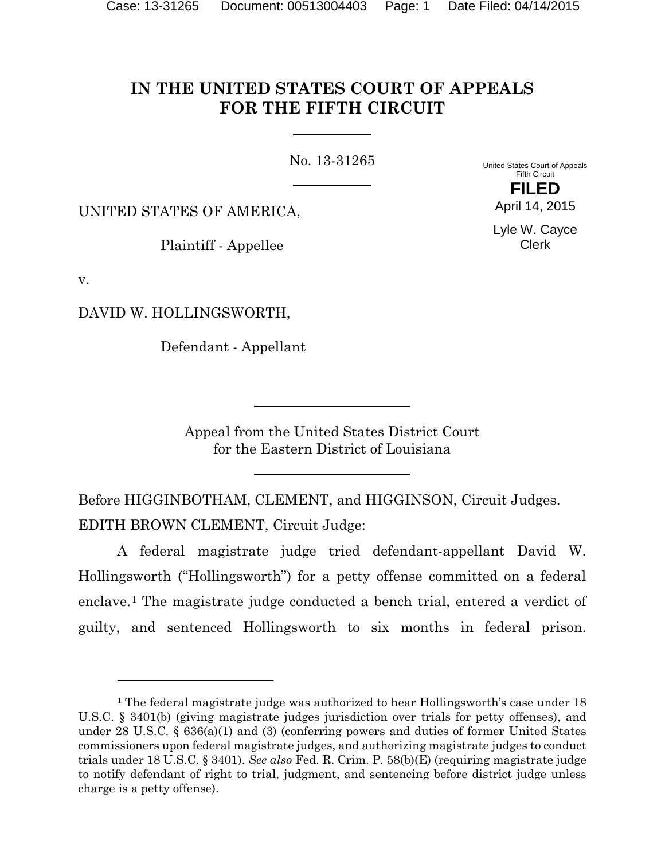# **IN THE UNITED STATES COURT OF APPEALS FOR THE FIFTH CIRCUIT**

No. 13-31265

United States Court of Appeals Fifth Circuit **FILED**

UNITED STATES OF AMERICA,

Plaintiff - Appellee

Lyle W. Cayce Clerk

April 14, 2015

v.

 $\overline{a}$ 

DAVID W. HOLLINGSWORTH,

Defendant - Appellant

Appeal from the United States District Court for the Eastern District of Louisiana

Before HIGGINBOTHAM, CLEMENT, and HIGGINSON, Circuit Judges. EDITH BROWN CLEMENT, Circuit Judge:

A federal magistrate judge tried defendant-appellant David W. Hollingsworth ("Hollingsworth") for a petty offense committed on a federal enclave.[1](#page-0-0) The magistrate judge conducted a bench trial, entered a verdict of guilty, and sentenced Hollingsworth to six months in federal prison.

<span id="page-0-0"></span><sup>&</sup>lt;sup>1</sup> The federal magistrate judge was authorized to hear Hollingsworth's case under 18 U.S.C. § 3401(b) (giving magistrate judges jurisdiction over trials for petty offenses), and under 28 U.S.C. § 636(a)(1) and (3) (conferring powers and duties of former United States commissioners upon federal magistrate judges, and authorizing magistrate judges to conduct trials under 18 U.S.C. § 3401). *See also* Fed. R. Crim. P. 58(b)(E) (requiring magistrate judge to notify defendant of right to trial, judgment, and sentencing before district judge unless charge is a petty offense).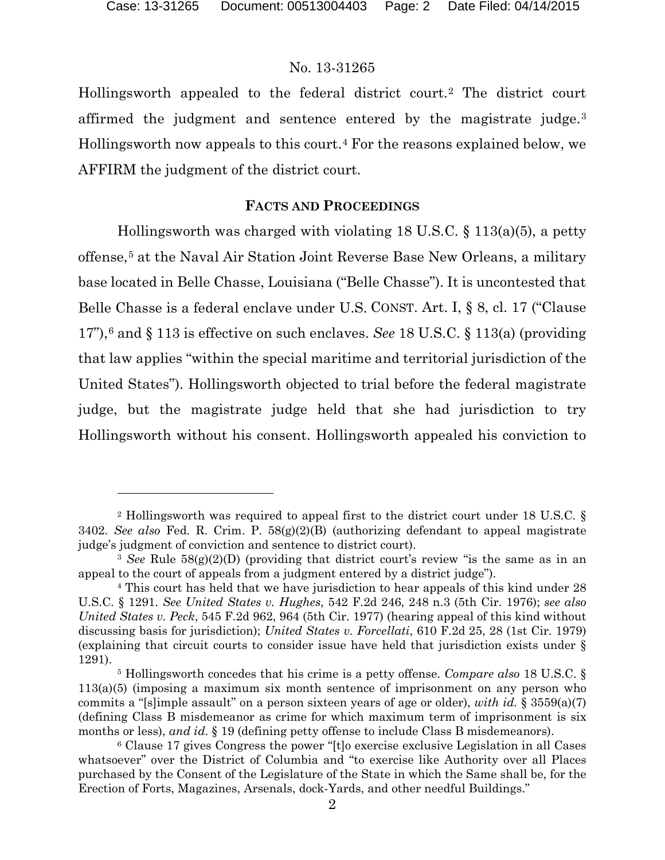l

#### No. 13-31265

Hollingsworth appealed to the federal district court.[2](#page-1-0) The district court affirmed the judgment and sentence entered by the magistrate judge.[3](#page-1-1) Hollingsworth now appeals to this court.[4](#page-1-2) For the reasons explained below, we AFFIRM the judgment of the district court.

#### **FACTS AND PROCEEDINGS**

Hollingsworth was charged with violating 18 U.S.C. § 113(a)(5), a petty offense,[5](#page-1-3) at the Naval Air Station Joint Reverse Base New Orleans, a military base located in Belle Chasse, Louisiana ("Belle Chasse"). It is uncontested that Belle Chasse is a federal enclave under U.S. CONST. Art. I, § 8, cl. 17 ("Clause 17"),[6](#page-1-4) and § 113 is effective on such enclaves. *See* 18 U.S.C. § 113(a) (providing that law applies "within the special maritime and territorial jurisdiction of the United States"). Hollingsworth objected to trial before the federal magistrate judge, but the magistrate judge held that she had jurisdiction to try Hollingsworth without his consent. Hollingsworth appealed his conviction to

<span id="page-1-0"></span><sup>2</sup> Hollingsworth was required to appeal first to the district court under 18 U.S.C. § 3402. *See also* Fed. R. Crim. P. 58(g)(2)(B) (authorizing defendant to appeal magistrate judge's judgment of conviction and sentence to district court).

<span id="page-1-1"></span><sup>3</sup> *See* Rule 58(g)(2)(D) (providing that district court's review "is the same as in an appeal to the court of appeals from a judgment entered by a district judge").

<span id="page-1-2"></span><sup>4</sup> This court has held that we have jurisdiction to hear appeals of this kind under 28 U.S.C. § 1291. *See United States v. Hughes*, 542 F.2d 246, 248 n.3 (5th Cir. 1976); *see also United States v. Peck*, 545 F.2d 962, 964 (5th Cir. 1977) (hearing appeal of this kind without discussing basis for jurisdiction); *United States v. Forcellati*, 610 F.2d 25, 28 (1st Cir. 1979) (explaining that circuit courts to consider issue have held that jurisdiction exists under § 1291).

<span id="page-1-3"></span><sup>5</sup> Hollingsworth concedes that his crime is a petty offense. *Compare also* 18 U.S.C. § 113(a)(5) (imposing a maximum six month sentence of imprisonment on any person who commits a "[s]imple assault" on a person sixteen years of age or older), *with id.* § 3559(a)(7) (defining Class B misdemeanor as crime for which maximum term of imprisonment is six months or less), *and id*. § 19 (defining petty offense to include Class B misdemeanors).

<span id="page-1-4"></span><sup>6</sup> Clause 17 gives Congress the power "[t]o exercise exclusive Legislation in all Cases whatsoever" over the District of Columbia and "to exercise like Authority over all Places purchased by the Consent of the Legislature of the State in which the Same shall be, for the Erection of Forts, Magazines, Arsenals, dock-Yards, and other needful Buildings."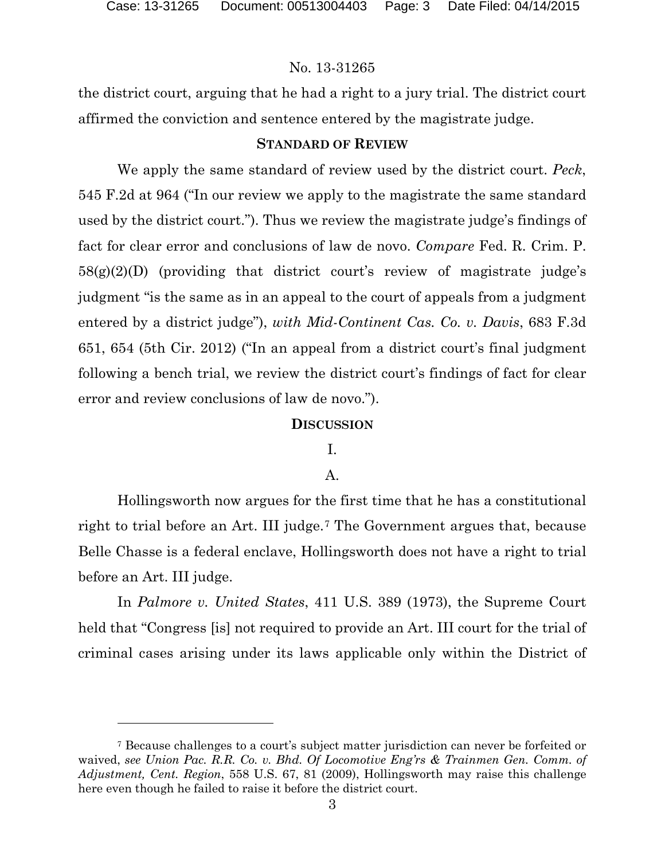## No. 13-31265

the district court, arguing that he had a right to a jury trial. The district court affirmed the conviction and sentence entered by the magistrate judge.

#### **STANDARD OF REVIEW**

We apply the same standard of review used by the district court. *Peck*, 545 F.2d at 964 ("In our review we apply to the magistrate the same standard used by the district court."). Thus we review the magistrate judge's findings of fact for clear error and conclusions of law de novo. *Compare* Fed. R. Crim. P. 58(g)(2)(D) (providing that district court's review of magistrate judge's judgment "is the same as in an appeal to the court of appeals from a judgment entered by a district judge"), *with Mid-Continent Cas. Co. v. Davis*, 683 F.3d 651, 654 (5th Cir. 2012) ("In an appeal from a district court's final judgment following a bench trial, we review the district court's findings of fact for clear error and review conclusions of law de novo.").

#### **DISCUSSION**

I.

#### A.

Hollingsworth now argues for the first time that he has a constitutional right to trial before an Art. III judge.<sup>[7](#page-2-0)</sup> The Government argues that, because Belle Chasse is a federal enclave, Hollingsworth does not have a right to trial before an Art. III judge.

In *Palmore v. United States*, 411 U.S. 389 (1973), the Supreme Court held that "Congress [is] not required to provide an Art. III court for the trial of criminal cases arising under its laws applicable only within the District of

<span id="page-2-0"></span><sup>7</sup> Because challenges to a court's subject matter jurisdiction can never be forfeited or waived, *see Union Pac. R.R. Co. v. Bhd. Of Locomotive Eng'rs & Trainmen Gen. Comm. of Adjustment, Cent. Region*, 558 U.S. 67, 81 (2009), Hollingsworth may raise this challenge here even though he failed to raise it before the district court.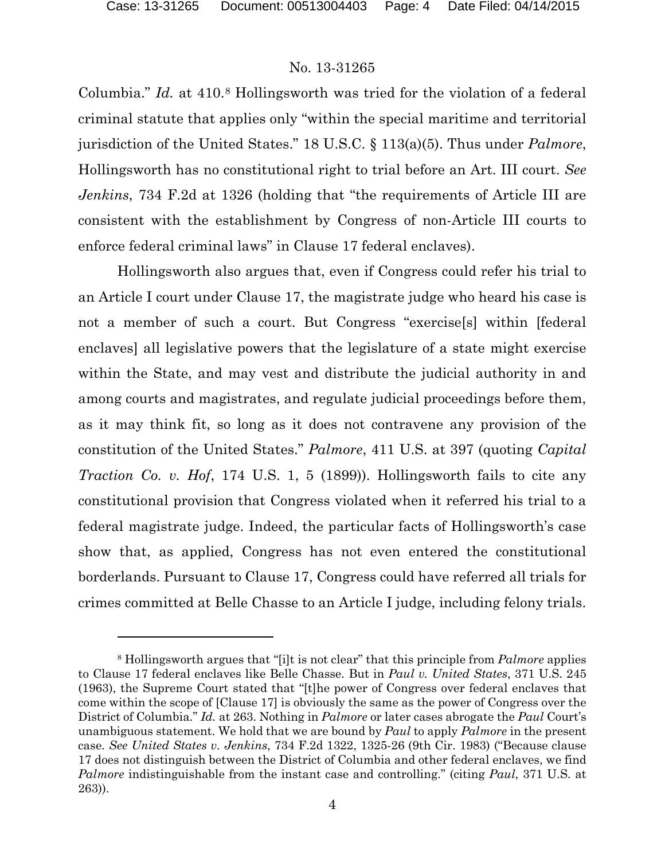#### No. 13-31265

Columbia." *Id.* at 410.<sup>[8](#page-3-0)</sup> Hollingsworth was tried for the violation of a federal criminal statute that applies only "within the special maritime and territorial jurisdiction of the United States." 18 U.S.C. § 113(a)(5). Thus under *Palmore*, Hollingsworth has no constitutional right to trial before an Art. III court. *See Jenkins*, 734 F.2d at 1326 (holding that "the requirements of Article III are consistent with the establishment by Congress of non-Article III courts to enforce federal criminal laws" in Clause 17 federal enclaves).

Hollingsworth also argues that, even if Congress could refer his trial to an Article I court under Clause 17, the magistrate judge who heard his case is not a member of such a court. But Congress "exercise[s] within [federal enclaves] all legislative powers that the legislature of a state might exercise within the State, and may vest and distribute the judicial authority in and among courts and magistrates, and regulate judicial proceedings before them, as it may think fit, so long as it does not contravene any provision of the constitution of the United States." *Palmore*, 411 U.S. at 397 (quoting *Capital Traction Co. v. Hof*, 174 U.S. 1, 5 (1899)). Hollingsworth fails to cite any constitutional provision that Congress violated when it referred his trial to a federal magistrate judge. Indeed, the particular facts of Hollingsworth's case show that, as applied, Congress has not even entered the constitutional borderlands. Pursuant to Clause 17, Congress could have referred all trials for crimes committed at Belle Chasse to an Article I judge, including felony trials.

<span id="page-3-0"></span><sup>8</sup> Hollingsworth argues that "[i]t is not clear" that this principle from *Palmore* applies to Clause 17 federal enclaves like Belle Chasse. But in *Paul v. United States*, 371 U.S. 245 (1963), the Supreme Court stated that "[t]he power of Congress over federal enclaves that come within the scope of [Clause 17] is obviously the same as the power of Congress over the District of Columbia." *Id.* at 263. Nothing in *Palmore* or later cases abrogate the *Paul* Court's unambiguous statement. We hold that we are bound by *Paul* to apply *Palmore* in the present case. *See United States v. Jenkins*, 734 F.2d 1322, 1325-26 (9th Cir. 1983) ("Because clause 17 does not distinguish between the District of Columbia and other federal enclaves, we find *Palmore* indistinguishable from the instant case and controlling." (citing *Paul*, 371 U.S. at 263)).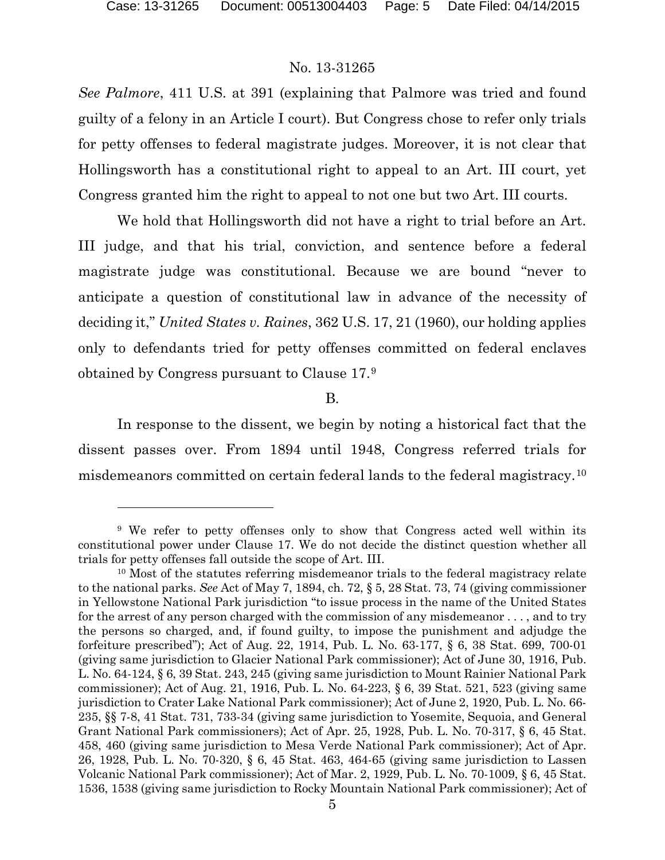#### No. 13-31265

*See Palmore*, 411 U.S. at 391 (explaining that Palmore was tried and found guilty of a felony in an Article I court). But Congress chose to refer only trials for petty offenses to federal magistrate judges. Moreover, it is not clear that Hollingsworth has a constitutional right to appeal to an Art. III court, yet Congress granted him the right to appeal to not one but two Art. III courts.

We hold that Hollingsworth did not have a right to trial before an Art. III judge, and that his trial, conviction, and sentence before a federal magistrate judge was constitutional. Because we are bound "never to anticipate a question of constitutional law in advance of the necessity of deciding it," *United States v. Raines*, 362 U.S. 17, 21 (1960), our holding applies only to defendants tried for petty offenses committed on federal enclaves obtained by Congress pursuant to Clause 17.[9](#page-4-0)

B.

In response to the dissent, we begin by noting a historical fact that the dissent passes over. From 1894 until 1948, Congress referred trials for misdemeanors committed on certain federal lands to the federal magistracy.[10](#page-4-1)

<span id="page-4-0"></span><sup>9</sup> We refer to petty offenses only to show that Congress acted well within its constitutional power under Clause 17. We do not decide the distinct question whether all trials for petty offenses fall outside the scope of Art. III.

<span id="page-4-1"></span><sup>&</sup>lt;sup>10</sup> Most of the statutes referring misdemeanor trials to the federal magistracy relate to the national parks. *See* Act of May 7, 1894, ch. 72, § 5, 28 Stat. 73, 74 (giving commissioner in Yellowstone National Park jurisdiction "to issue process in the name of the United States for the arrest of any person charged with the commission of any misdemeanor . . . , and to try the persons so charged, and, if found guilty, to impose the punishment and adjudge the forfeiture prescribed"); Act of Aug. 22, 1914, Pub. L. No. 63-177, § 6, 38 Stat. 699, 700-01 (giving same jurisdiction to Glacier National Park commissioner); Act of June 30, 1916, Pub. L. No. 64-124, § 6, 39 Stat. 243, 245 (giving same jurisdiction to Mount Rainier National Park commissioner); Act of Aug. 21, 1916, Pub. L. No. 64-223, § 6, 39 Stat. 521, 523 (giving same jurisdiction to Crater Lake National Park commissioner); Act of June 2, 1920, Pub. L. No. 66- 235, §§ 7-8, 41 Stat. 731, 733-34 (giving same jurisdiction to Yosemite, Sequoia, and General Grant National Park commissioners); Act of Apr. 25, 1928, Pub. L. No. 70-317, § 6, 45 Stat. 458, 460 (giving same jurisdiction to Mesa Verde National Park commissioner); Act of Apr. 26, 1928, Pub. L. No. 70-320, § 6, 45 Stat. 463, 464-65 (giving same jurisdiction to Lassen Volcanic National Park commissioner); Act of Mar. 2, 1929, Pub. L. No. 70-1009, § 6, 45 Stat. 1536, 1538 (giving same jurisdiction to Rocky Mountain National Park commissioner); Act of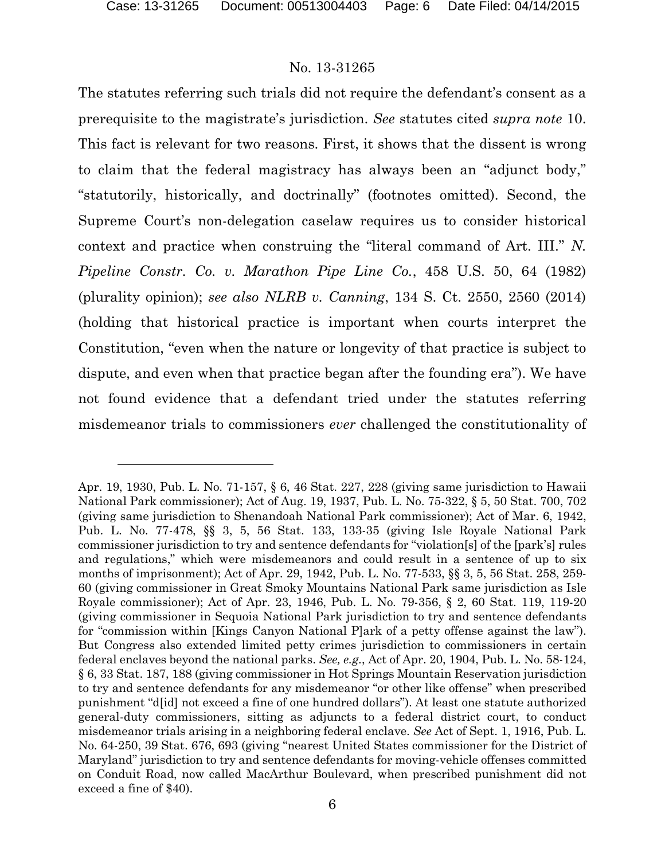#### No. 13-31265

The statutes referring such trials did not require the defendant's consent as a prerequisite to the magistrate's jurisdiction. *See* statutes cited *supra note* 10. This fact is relevant for two reasons. First, it shows that the dissent is wrong to claim that the federal magistracy has always been an "adjunct body," "statutorily, historically, and doctrinally" (footnotes omitted). Second, the Supreme Court's non-delegation caselaw requires us to consider historical context and practice when construing the "literal command of Art. III." *N. Pipeline Constr. Co. v. Marathon Pipe Line Co.*, 458 U.S. 50, 64 (1982) (plurality opinion); *see also NLRB v. Canning*, 134 S. Ct. 2550, 2560 (2014) (holding that historical practice is important when courts interpret the Constitution, "even when the nature or longevity of that practice is subject to dispute, and even when that practice began after the founding era"). We have not found evidence that a defendant tried under the statutes referring misdemeanor trials to commissioners *ever* challenged the constitutionality of

Apr. 19, 1930, Pub. L. No. 71-157, § 6, 46 Stat. 227, 228 (giving same jurisdiction to Hawaii National Park commissioner); Act of Aug. 19, 1937, Pub. L. No. 75-322, § 5, 50 Stat. 700, 702 (giving same jurisdiction to Shenandoah National Park commissioner); Act of Mar. 6, 1942, Pub. L. No. 77-478, §§ 3, 5, 56 Stat. 133, 133-35 (giving Isle Royale National Park commissioner jurisdiction to try and sentence defendants for "violation[s] of the [park's] rules and regulations," which were misdemeanors and could result in a sentence of up to six months of imprisonment); Act of Apr. 29, 1942, Pub. L. No. 77-533, §§ 3, 5, 56 Stat. 258, 259- 60 (giving commissioner in Great Smoky Mountains National Park same jurisdiction as Isle Royale commissioner); Act of Apr. 23, 1946, Pub. L. No. 79-356, § 2, 60 Stat. 119, 119-20 (giving commissioner in Sequoia National Park jurisdiction to try and sentence defendants for "commission within [Kings Canyon National P]ark of a petty offense against the law"). But Congress also extended limited petty crimes jurisdiction to commissioners in certain federal enclaves beyond the national parks. *See, e.g.*, Act of Apr. 20, 1904, Pub. L. No. 58-124, § 6, 33 Stat. 187, 188 (giving commissioner in Hot Springs Mountain Reservation jurisdiction to try and sentence defendants for any misdemeanor "or other like offense" when prescribed punishment "d[id] not exceed a fine of one hundred dollars"). At least one statute authorized general-duty commissioners, sitting as adjuncts to a federal district court, to conduct misdemeanor trials arising in a neighboring federal enclave. *See* Act of Sept. 1, 1916, Pub. L. No. 64-250, 39 Stat. 676, 693 (giving "nearest United States commissioner for the District of Maryland" jurisdiction to try and sentence defendants for moving-vehicle offenses committed on Conduit Road, now called MacArthur Boulevard, when prescribed punishment did not exceed a fine of \$40).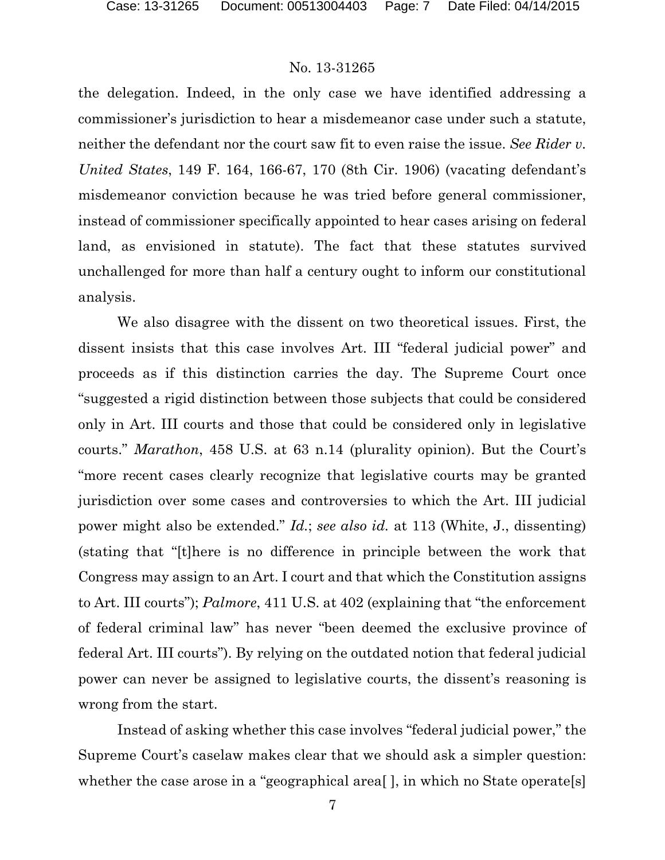### No. 13-31265

the delegation. Indeed, in the only case we have identified addressing a commissioner's jurisdiction to hear a misdemeanor case under such a statute, neither the defendant nor the court saw fit to even raise the issue. *See Rider v. United States*, 149 F. 164, 166-67, 170 (8th Cir. 1906) (vacating defendant's misdemeanor conviction because he was tried before general commissioner, instead of commissioner specifically appointed to hear cases arising on federal land, as envisioned in statute). The fact that these statutes survived unchallenged for more than half a century ought to inform our constitutional analysis.

We also disagree with the dissent on two theoretical issues. First, the dissent insists that this case involves Art. III "federal judicial power" and proceeds as if this distinction carries the day. The Supreme Court once "suggested a rigid distinction between those subjects that could be considered only in Art. III courts and those that could be considered only in legislative courts." *Marathon*, 458 U.S. at 63 n.14 (plurality opinion). But the Court's "more recent cases clearly recognize that legislative courts may be granted jurisdiction over some cases and controversies to which the Art. III judicial power might also be extended." *Id.*; *see also id.* at 113 (White, J., dissenting) (stating that "[t]here is no difference in principle between the work that Congress may assign to an Art. I court and that which the Constitution assigns to Art. III courts"); *Palmore*, 411 U.S. at 402 (explaining that "the enforcement of federal criminal law" has never "been deemed the exclusive province of federal Art. III courts"). By relying on the outdated notion that federal judicial power can never be assigned to legislative courts, the dissent's reasoning is wrong from the start.

Instead of asking whether this case involves "federal judicial power," the Supreme Court's caselaw makes clear that we should ask a simpler question: whether the case arose in a "geographical area<sup>[]</sup>, in which no State operate<sup>[s]</sup>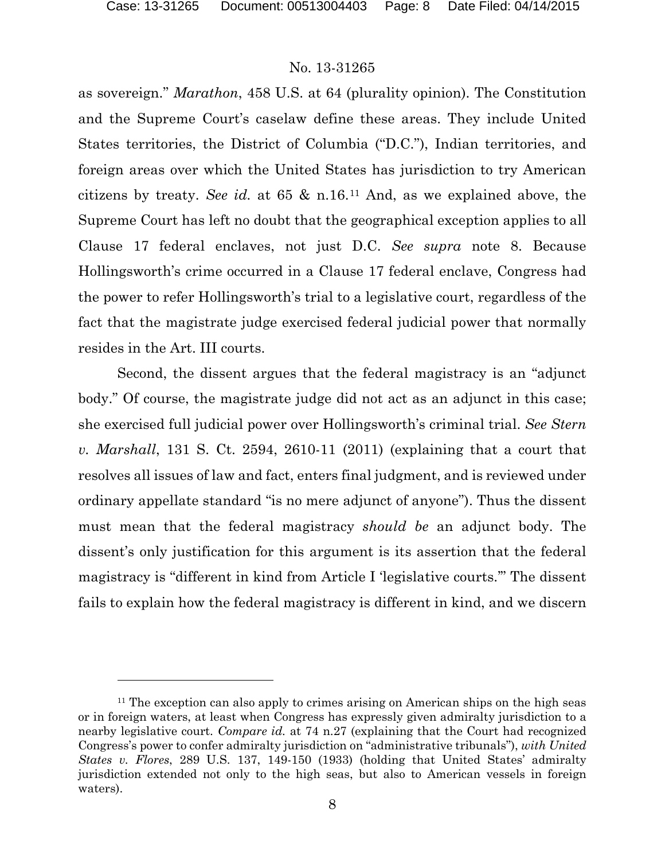#### No. 13-31265

as sovereign." *Marathon*, 458 U.S. at 64 (plurality opinion). The Constitution and the Supreme Court's caselaw define these areas. They include United States territories, the District of Columbia ("D.C."), Indian territories, and foreign areas over which the United States has jurisdiction to try American citizens by treaty. *See id.* at 65 & n.16.[11](#page-7-0) And, as we explained above, the Supreme Court has left no doubt that the geographical exception applies to all Clause 17 federal enclaves, not just D.C. *See supra* note 8. Because Hollingsworth's crime occurred in a Clause 17 federal enclave, Congress had the power to refer Hollingsworth's trial to a legislative court, regardless of the fact that the magistrate judge exercised federal judicial power that normally resides in the Art. III courts.

Second, the dissent argues that the federal magistracy is an "adjunct body." Of course, the magistrate judge did not act as an adjunct in this case; she exercised full judicial power over Hollingsworth's criminal trial. *See Stern v. Marshall*, 131 S. Ct. 2594, 2610-11 (2011) (explaining that a court that resolves all issues of law and fact, enters final judgment, and is reviewed under ordinary appellate standard "is no mere adjunct of anyone"). Thus the dissent must mean that the federal magistracy *should be* an adjunct body. The dissent's only justification for this argument is its assertion that the federal magistracy is "different in kind from Article I 'legislative courts.'" The dissent fails to explain how the federal magistracy is different in kind, and we discern

<span id="page-7-0"></span><sup>&</sup>lt;sup>11</sup> The exception can also apply to crimes arising on American ships on the high seas or in foreign waters, at least when Congress has expressly given admiralty jurisdiction to a nearby legislative court. *Compare id.* at 74 n.27 (explaining that the Court had recognized Congress's power to confer admiralty jurisdiction on "administrative tribunals"), *with United States v. Flores*, 289 U.S. 137, 149-150 (1933) (holding that United States' admiralty jurisdiction extended not only to the high seas, but also to American vessels in foreign waters).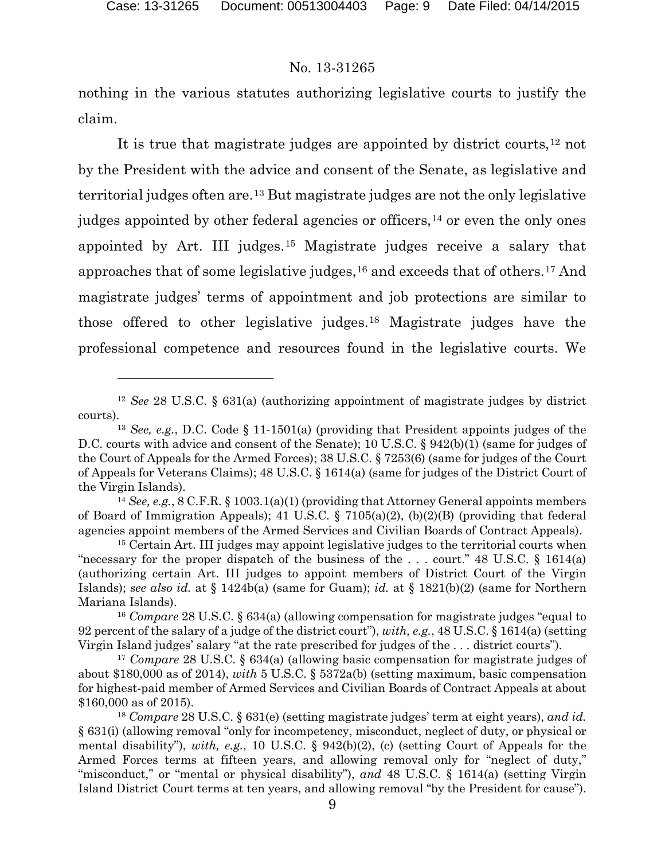#### No. 13-31265

nothing in the various statutes authorizing legislative courts to justify the claim.

It is true that magistrate judges are appointed by district courts,<sup>[12](#page-8-0)</sup> not by the President with the advice and consent of the Senate, as legislative and territorial judges often are.[13](#page-8-1) But magistrate judges are not the only legislative judges appointed by other federal agencies or officers,<sup>[14](#page-8-2)</sup> or even the only ones appointed by Art. III judges.[15](#page-8-3) Magistrate judges receive a salary that approaches that of some legislative judges,  $16$  and exceeds that of others.  $17$  And magistrate judges' terms of appointment and job protections are similar to those offered to other legislative judges.[18](#page-8-6) Magistrate judges have the professional competence and resources found in the legislative courts. We

<span id="page-8-0"></span><sup>12</sup> *See* 28 U.S.C. § 631(a) (authorizing appointment of magistrate judges by district courts).

<span id="page-8-1"></span><sup>13</sup> *See, e.g.*, D.C. Code § 11-1501(a) (providing that President appoints judges of the D.C. courts with advice and consent of the Senate); 10 U.S.C. § 942(b)(1) (same for judges of the Court of Appeals for the Armed Forces); 38 U.S.C. § 7253(6) (same for judges of the Court of Appeals for Veterans Claims); 48 U.S.C. § 1614(a) (same for judges of the District Court of the Virgin Islands).

<span id="page-8-2"></span><sup>14</sup> *See, e.g.*, 8 C.F.R. § 1003.1(a)(1) (providing that Attorney General appoints members of Board of Immigration Appeals); 41 U.S.C. § 7105(a)(2), (b)(2)(B) (providing that federal agencies appoint members of the Armed Services and Civilian Boards of Contract Appeals).

<span id="page-8-3"></span><sup>&</sup>lt;sup>15</sup> Certain Art. III judges may appoint legislative judges to the territorial courts when "necessary for the proper dispatch of the business of the ... court." 48 U.S.C.  $\S$  1614(a) (authorizing certain Art. III judges to appoint members of District Court of the Virgin Islands); *see also id.* at § 1424b(a) (same for Guam); *id.* at § 1821(b)(2) (same for Northern Mariana Islands).

<span id="page-8-4"></span><sup>16</sup> *Compare* 28 U.S.C. § 634(a) (allowing compensation for magistrate judges "equal to 92 percent of the salary of a judge of the district court"), *with, e.g.*, 48 U.S.C. § 1614(a) (setting Virgin Island judges' salary "at the rate prescribed for judges of the . . . district courts").

<span id="page-8-5"></span><sup>17</sup> *Compare* 28 U.S.C. § 634(a) (allowing basic compensation for magistrate judges of about \$180,000 as of 2014), *with* 5 U.S.C. § 5372a(b) (setting maximum, basic compensation for highest-paid member of Armed Services and Civilian Boards of Contract Appeals at about \$160,000 as of 2015).

<span id="page-8-6"></span><sup>18</sup> *Compare* 28 U.S.C. § 631(e) (setting magistrate judges' term at eight years), *and id.* § 631(i) (allowing removal "only for incompetency, misconduct, neglect of duty, or physical or mental disability"), *with, e.g.*, 10 U.S.C. § 942(b)(2), (c) (setting Court of Appeals for the Armed Forces terms at fifteen years, and allowing removal only for "neglect of duty," "misconduct," or "mental or physical disability"), and 48 U.S.C. § 1614(a) (setting Virgin Island District Court terms at ten years, and allowing removal "by the President for cause").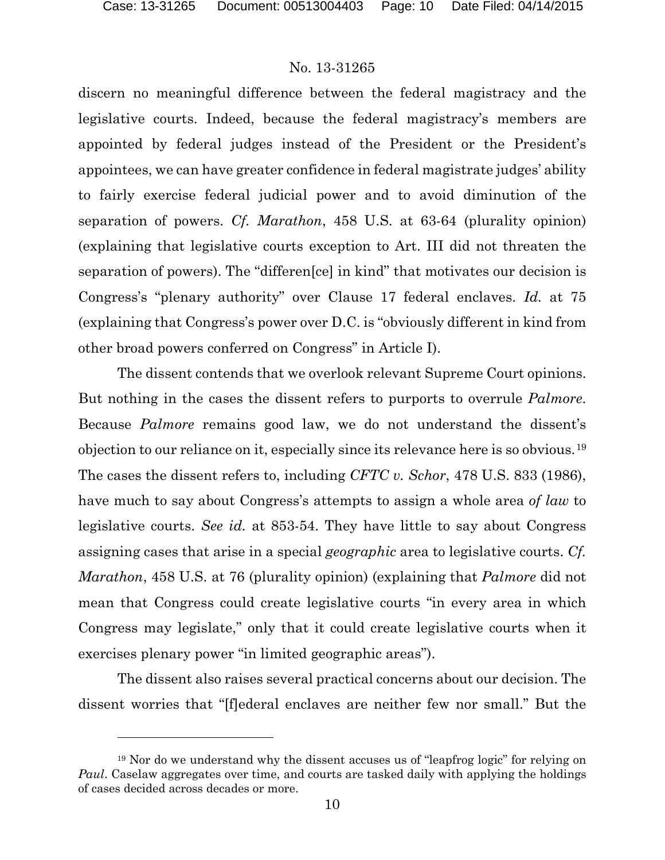#### No. 13-31265

discern no meaningful difference between the federal magistracy and the legislative courts. Indeed, because the federal magistracy's members are appointed by federal judges instead of the President or the President's appointees, we can have greater confidence in federal magistrate judges' ability to fairly exercise federal judicial power and to avoid diminution of the separation of powers. *Cf. Marathon*, 458 U.S. at 63-64 (plurality opinion) (explaining that legislative courts exception to Art. III did not threaten the separation of powers). The "differen[ce] in kind" that motivates our decision is Congress's "plenary authority" over Clause 17 federal enclaves. *Id.* at 75 (explaining that Congress's power over D.C. is "obviously different in kind from other broad powers conferred on Congress" in Article I).

The dissent contends that we overlook relevant Supreme Court opinions. But nothing in the cases the dissent refers to purports to overrule *Palmore*. Because *Palmore* remains good law, we do not understand the dissent's objection to our reliance on it, especially since its relevance here is so obvious.[19](#page-9-0) The cases the dissent refers to, including *CFTC v. Schor*, 478 U.S. 833 (1986), have much to say about Congress's attempts to assign a whole area *of law* to legislative courts. *See id.* at 853-54. They have little to say about Congress assigning cases that arise in a special *geographic* area to legislative courts. *Cf. Marathon*, 458 U.S. at 76 (plurality opinion) (explaining that *Palmore* did not mean that Congress could create legislative courts "in every area in which Congress may legislate," only that it could create legislative courts when it exercises plenary power "in limited geographic areas").

The dissent also raises several practical concerns about our decision. The dissent worries that "[f]ederal enclaves are neither few nor small." But the

<span id="page-9-0"></span><sup>&</sup>lt;sup>19</sup> Nor do we understand why the dissent accuses us of "leapfrog logic" for relying on *Paul*. Caselaw aggregates over time, and courts are tasked daily with applying the holdings of cases decided across decades or more.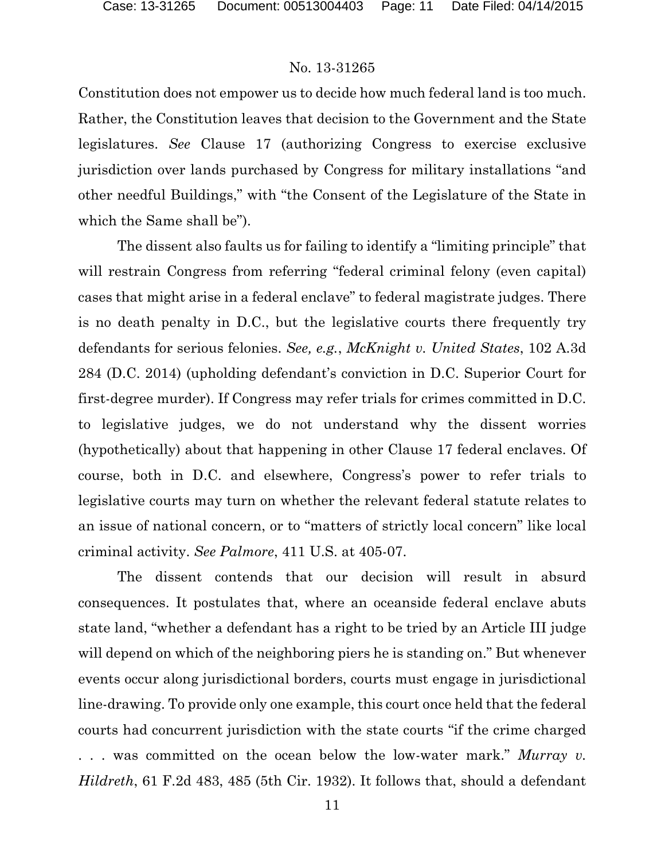#### No. 13-31265

Constitution does not empower us to decide how much federal land is too much. Rather, the Constitution leaves that decision to the Government and the State legislatures. *See* Clause 17 (authorizing Congress to exercise exclusive jurisdiction over lands purchased by Congress for military installations "and other needful Buildings," with "the Consent of the Legislature of the State in which the Same shall be").

The dissent also faults us for failing to identify a "limiting principle" that will restrain Congress from referring "federal criminal felony (even capital) cases that might arise in a federal enclave" to federal magistrate judges. There is no death penalty in D.C., but the legislative courts there frequently try defendants for serious felonies. *See, e.g.*, *McKnight v. United States*, 102 A.3d 284 (D.C. 2014) (upholding defendant's conviction in D.C. Superior Court for first-degree murder). If Congress may refer trials for crimes committed in D.C. to legislative judges, we do not understand why the dissent worries (hypothetically) about that happening in other Clause 17 federal enclaves. Of course, both in D.C. and elsewhere, Congress's power to refer trials to legislative courts may turn on whether the relevant federal statute relates to an issue of national concern, or to "matters of strictly local concern" like local criminal activity. *See Palmore*, 411 U.S. at 405-07.

The dissent contends that our decision will result in absurd consequences. It postulates that, where an oceanside federal enclave abuts state land, "whether a defendant has a right to be tried by an Article III judge will depend on which of the neighboring piers he is standing on." But whenever events occur along jurisdictional borders, courts must engage in jurisdictional line-drawing. To provide only one example, this court once held that the federal courts had concurrent jurisdiction with the state courts "if the crime charged . . . was committed on the ocean below the low-water mark." *Murray v. Hildreth*, 61 F.2d 483, 485 (5th Cir. 1932). It follows that, should a defendant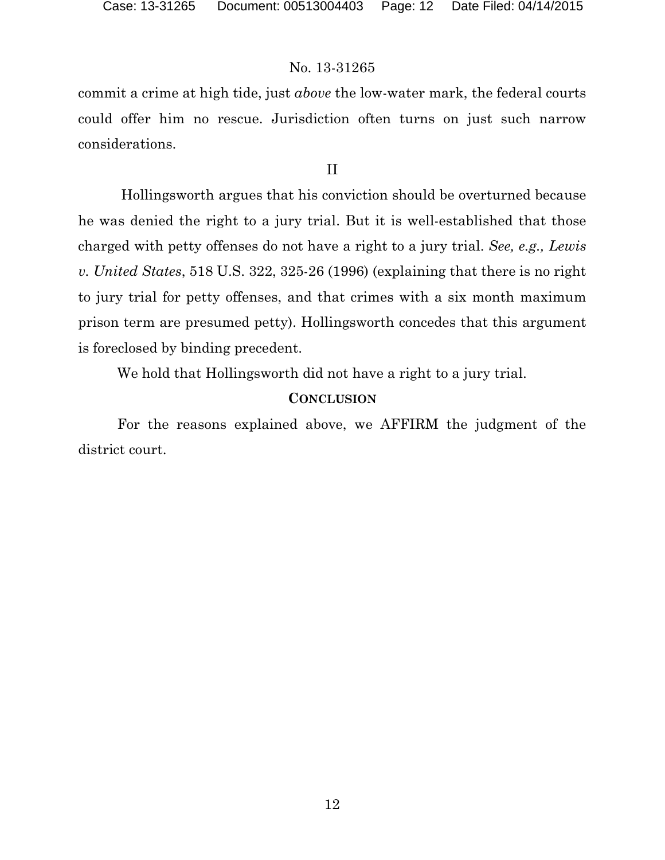#### No. 13-31265

commit a crime at high tide, just *above* the low-water mark, the federal courts could offer him no rescue. Jurisdiction often turns on just such narrow considerations.

#### II

Hollingsworth argues that his conviction should be overturned because he was denied the right to a jury trial. But it is well-established that those charged with petty offenses do not have a right to a jury trial. *See, e.g., Lewis v. United States*, 518 U.S. 322, 325-26 (1996) (explaining that there is no right to jury trial for petty offenses, and that crimes with a six month maximum prison term are presumed petty). Hollingsworth concedes that this argument is foreclosed by binding precedent.

We hold that Hollingsworth did not have a right to a jury trial.

#### **CONCLUSION**

For the reasons explained above, we AFFIRM the judgment of the district court.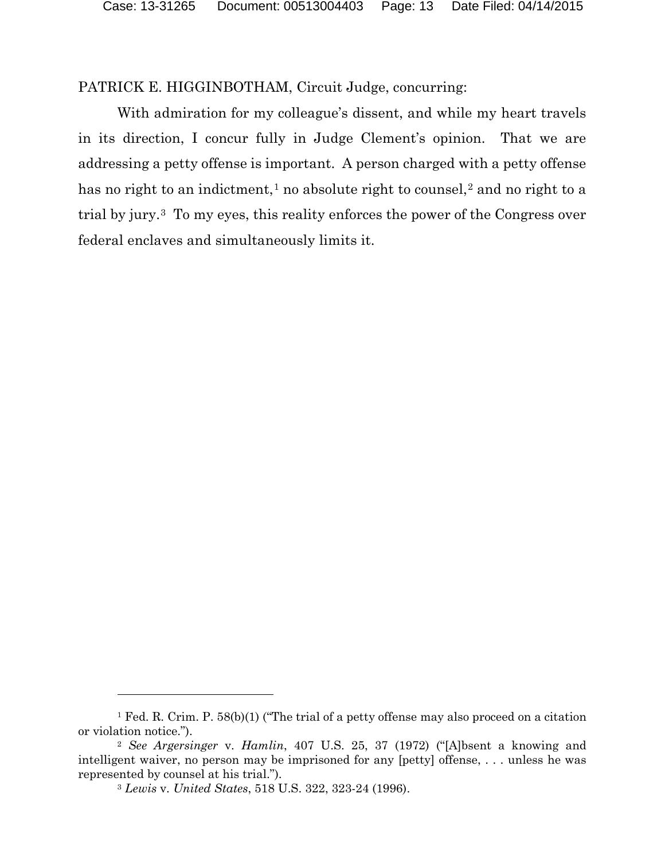PATRICK E. HIGGINBOTHAM, Circuit Judge, concurring:

With admiration for my colleague's dissent, and while my heart travels in its direction, I concur fully in Judge Clement's opinion. That we are addressing a petty offense is important. A person charged with a petty offense has no right to an indictment,<sup>[1](#page-12-0)</sup> no absolute right to counsel,<sup>[2](#page-12-1)</sup> and no right to a trial by jury.[3](#page-12-2) To my eyes, this reality enforces the power of the Congress over federal enclaves and simultaneously limits it.

 $\overline{a}$ 

<span id="page-12-0"></span><sup>&</sup>lt;sup>1</sup> Fed. R. Crim. P. 58(b)(1) ("The trial of a petty offense may also proceed on a citation or violation notice.").

<span id="page-12-2"></span><span id="page-12-1"></span><sup>2</sup> *See Argersinger* v. *Hamlin*, 407 U.S. 25, 37 (1972) ("[A]bsent a knowing and intelligent waiver, no person may be imprisoned for any [petty] offense, . . . unless he was represented by counsel at his trial.").

<sup>3</sup> *Lewis* v. *United States*, 518 U.S. 322, 323-24 (1996).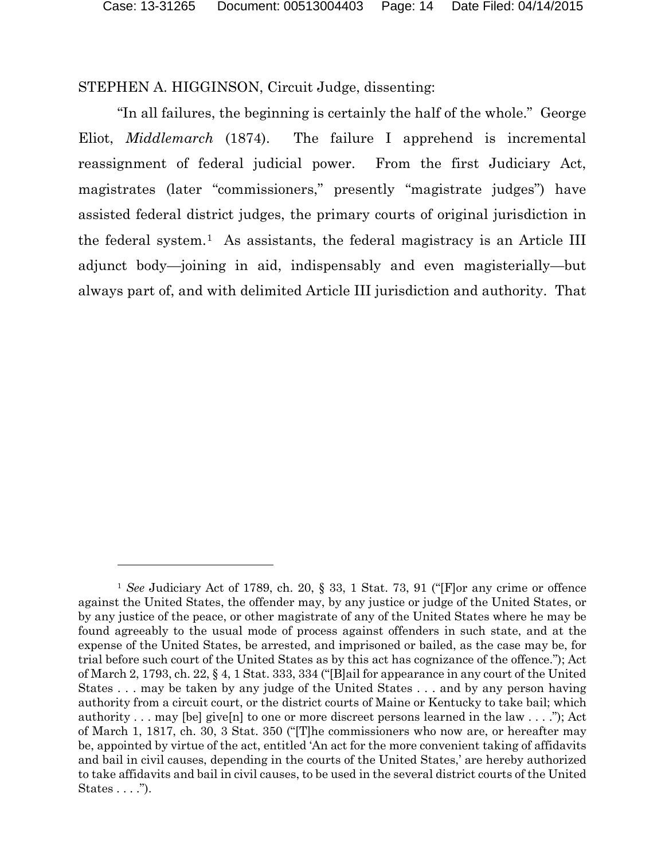STEPHEN A. HIGGINSON, Circuit Judge, dissenting:

 $\overline{a}$ 

"In all failures, the beginning is certainly the half of the whole." George Eliot, *Middlemarch* (1874). The failure I apprehend is incremental reassignment of federal judicial power. From the first Judiciary Act, magistrates (later "commissioners," presently "magistrate judges") have assisted federal district judges, the primary courts of original jurisdiction in the federal system.[1](#page-13-0) As assistants, the federal magistracy is an Article III adjunct body—joining in aid, indispensably and even magisterially—but always part of, and with delimited Article III jurisdiction and authority. That

<span id="page-13-0"></span><sup>1</sup> *See* Judiciary Act of 1789, ch. 20, § 33, 1 Stat. 73, 91 ("[F]or any crime or offence against the United States, the offender may, by any justice or judge of the United States, or by any justice of the peace, or other magistrate of any of the United States where he may be found agreeably to the usual mode of process against offenders in such state, and at the expense of the United States, be arrested, and imprisoned or bailed, as the case may be, for trial before such court of the United States as by this act has cognizance of the offence."); Act of March 2, 1793, ch. 22, § 4, 1 Stat. 333, 334 ("[B]ail for appearance in any court of the United States . . . may be taken by any judge of the United States . . . and by any person having authority from a circuit court, or the district courts of Maine or Kentucky to take bail; which authority . . . may [be] give[n] to one or more discreet persons learned in the law . . . ."); Act of March 1, 1817, ch. 30, 3 Stat. 350 ("[T]he commissioners who now are, or hereafter may be, appointed by virtue of the act, entitled 'An act for the more convenient taking of affidavits and bail in civil causes, depending in the courts of the United States,' are hereby authorized to take affidavits and bail in civil causes, to be used in the several district courts of the United States . . . .").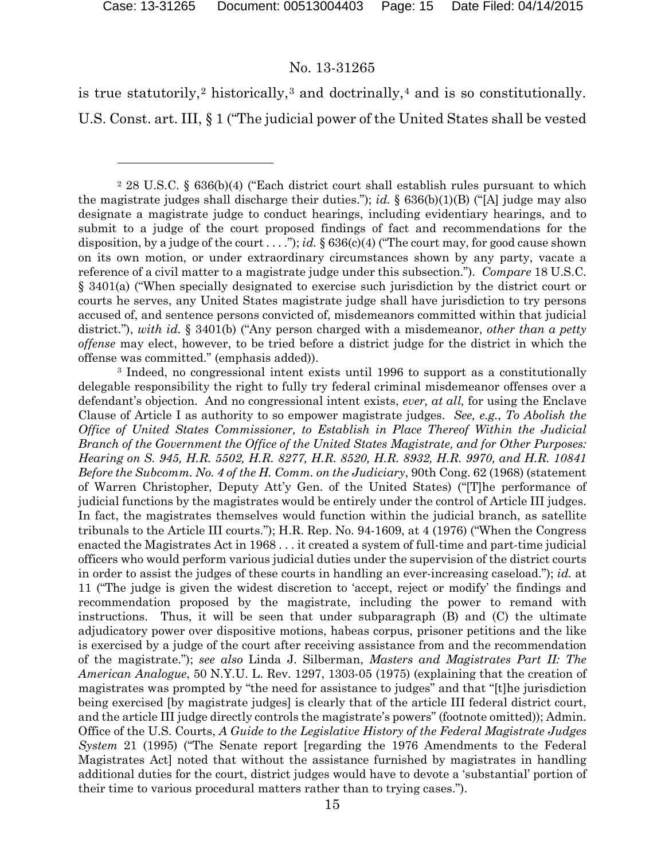#### No. 13-31265

is true statutorily,<sup>[2](#page-14-0)</sup> historically,<sup>[3](#page-14-1)</sup> and doctrinally,<sup>[4](#page-14-2)</sup> and is so constitutionally. U.S. Const. art. III, § 1 ("The judicial power of the United States shall be vested

<span id="page-14-2"></span><span id="page-14-1"></span><sup>3</sup> Indeed, no congressional intent exists until 1996 to support as a constitutionally delegable responsibility the right to fully try federal criminal misdemeanor offenses over a defendant's objection. And no congressional intent exists, *ever, at all,* for using the Enclave Clause of Article I as authority to so empower magistrate judges. *See, e.g.*, *To Abolish the Office of United States Commissioner, to Establish in Place Thereof Within the Judicial Branch of the Government the Office of the United States Magistrate, and for Other Purposes: Hearing on S. 945, H.R. 5502, H.R. 8277, H.R. 8520, H.R. 8932, H.R. 9970, and H.R. 10841 Before the Subcomm. No. 4 of the H. Comm. on the Judiciary*, 90th Cong. 62 (1968) (statement of Warren Christopher, Deputy Att'y Gen. of the United States) ("[T]he performance of judicial functions by the magistrates would be entirely under the control of Article III judges. In fact, the magistrates themselves would function within the judicial branch, as satellite tribunals to the Article III courts."); H.R. Rep. No. 94-1609, at 4 (1976) ("When the Congress enacted the Magistrates Act in 1968 . . . it created a system of full-time and part-time judicial officers who would perform various judicial duties under the supervision of the district courts in order to assist the judges of these courts in handling an ever-increasing caseload."); *id.* at 11 ("The judge is given the widest discretion to 'accept, reject or modify' the findings and recommendation proposed by the magistrate, including the power to remand with instructions. Thus, it will be seen that under subparagraph (B) and (C) the ultimate adjudicatory power over dispositive motions, habeas corpus, prisoner petitions and the like is exercised by a judge of the court after receiving assistance from and the recommendation of the magistrate."); *see also* Linda J. Silberman, *Masters and Magistrates Part II: The American Analogue*, 50 N.Y.U. L. Rev. 1297, 1303-05 (1975) (explaining that the creation of magistrates was prompted by "the need for assistance to judges" and that "[t]he jurisdiction being exercised [by magistrate judges] is clearly that of the article III federal district court, and the article III judge directly controls the magistrate's powers" (footnote omitted)); Admin. Office of the U.S. Courts, *A Guide to the Legislative History of the Federal Magistrate Judges System* 21 (1995) ("The Senate report [regarding the 1976 Amendments to the Federal Magistrates Act] noted that without the assistance furnished by magistrates in handling additional duties for the court, district judges would have to devote a 'substantial' portion of their time to various procedural matters rather than to trying cases.").

<span id="page-14-0"></span><sup>2</sup> 28 U.S.C. § 636(b)(4) ("Each district court shall establish rules pursuant to which the magistrate judges shall discharge their duties."); *id.* § 636(b)(1)(B) ("[A] judge may also designate a magistrate judge to conduct hearings, including evidentiary hearings, and to submit to a judge of the court proposed findings of fact and recommendations for the disposition, by a judge of the court ...."); *id.* § 636(c)(4) ("The court may, for good cause shown on its own motion, or under extraordinary circumstances shown by any party, vacate a reference of a civil matter to a magistrate judge under this subsection."). *Compare* 18 U.S.C. § 3401(a) ("When specially designated to exercise such jurisdiction by the district court or courts he serves, any United States magistrate judge shall have jurisdiction to try persons accused of, and sentence persons convicted of, misdemeanors committed within that judicial district."), *with id.* § 3401(b) ("Any person charged with a misdemeanor, *other than a petty offense* may elect, however, to be tried before a district judge for the district in which the offense was committed." (emphasis added)).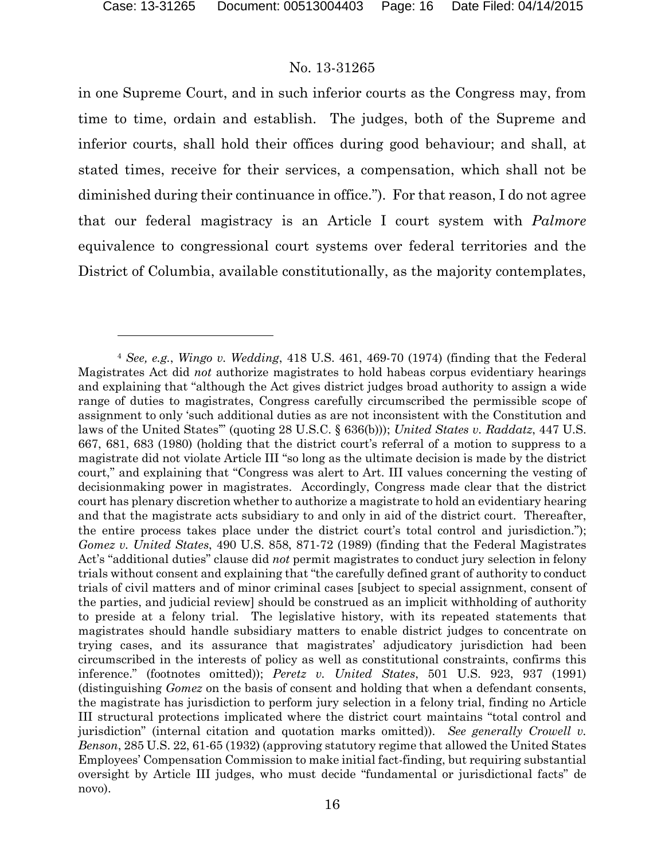#### No. 13-31265

in one Supreme Court, and in such inferior courts as the Congress may, from time to time, ordain and establish. The judges, both of the Supreme and inferior courts, shall hold their offices during good behaviour; and shall, at stated times, receive for their services, a compensation, which shall not be diminished during their continuance in office."). For that reason, I do not agree that our federal magistracy is an Article I court system with *Palmore* equivalence to congressional court systems over federal territories and the District of Columbia, available constitutionally, as the majority contemplates,

<sup>4</sup> *See, e.g.*, *Wingo v. Wedding*, 418 U.S. 461, 469-70 (1974) (finding that the Federal Magistrates Act did *not* authorize magistrates to hold habeas corpus evidentiary hearings and explaining that "although the Act gives district judges broad authority to assign a wide range of duties to magistrates, Congress carefully circumscribed the permissible scope of assignment to only 'such additional duties as are not inconsistent with the Constitution and laws of the United States'" (quoting 28 U.S.C. § 636(b))); *United States v. Raddatz*, 447 U.S. 667, 681, 683 (1980) (holding that the district court's referral of a motion to suppress to a magistrate did not violate Article III "so long as the ultimate decision is made by the district court," and explaining that "Congress was alert to Art. III values concerning the vesting of decisionmaking power in magistrates. Accordingly, Congress made clear that the district court has plenary discretion whether to authorize a magistrate to hold an evidentiary hearing and that the magistrate acts subsidiary to and only in aid of the district court. Thereafter, the entire process takes place under the district court's total control and jurisdiction."); *Gomez v. United States*, 490 U.S. 858, 871-72 (1989) (finding that the Federal Magistrates Act's "additional duties" clause did *not* permit magistrates to conduct jury selection in felony trials without consent and explaining that "the carefully defined grant of authority to conduct trials of civil matters and of minor criminal cases [subject to special assignment, consent of the parties, and judicial review] should be construed as an implicit withholding of authority to preside at a felony trial. The legislative history, with its repeated statements that magistrates should handle subsidiary matters to enable district judges to concentrate on trying cases, and its assurance that magistrates' adjudicatory jurisdiction had been circumscribed in the interests of policy as well as constitutional constraints, confirms this inference." (footnotes omitted)); *Peretz v. United States*, 501 U.S. 923, 937 (1991) (distinguishing *Gomez* on the basis of consent and holding that when a defendant consents, the magistrate has jurisdiction to perform jury selection in a felony trial, finding no Article III structural protections implicated where the district court maintains "total control and jurisdiction" (internal citation and quotation marks omitted)). *See generally Crowell v. Benson*, 285 U.S. 22, 61-65 (1932) (approving statutory regime that allowed the United States Employees' Compensation Commission to make initial fact-finding, but requiring substantial oversight by Article III judges, who must decide "fundamental or jurisdictional facts" de novo).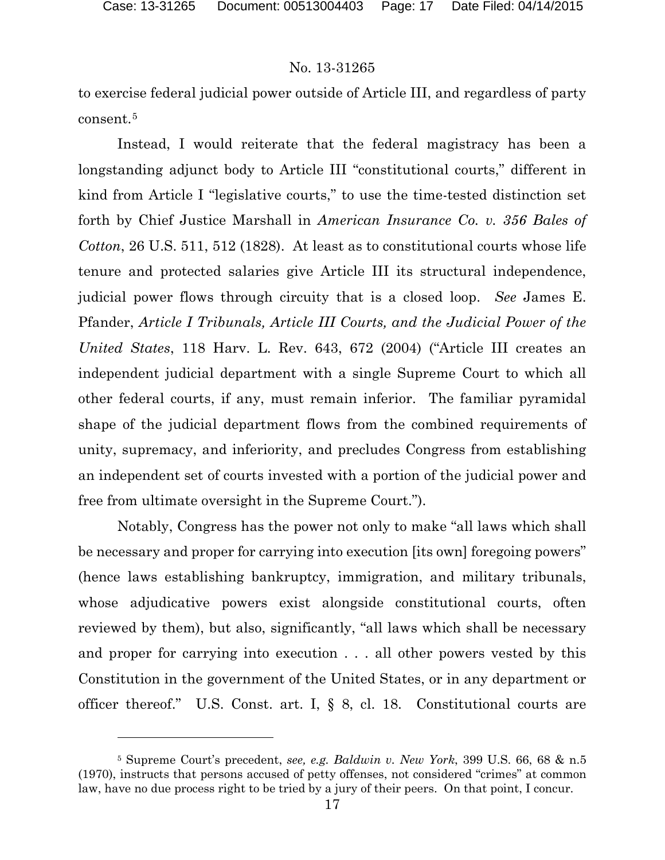## No. 13-31265

to exercise federal judicial power outside of Article III, and regardless of party consent.[5](#page-16-0)

Instead, I would reiterate that the federal magistracy has been a longstanding adjunct body to Article III "constitutional courts," different in kind from Article I "legislative courts," to use the time-tested distinction set forth by Chief Justice Marshall in *American Insurance Co. v. 356 Bales of Cotton*, 26 U.S. 511, 512 (1828). At least as to constitutional courts whose life tenure and protected salaries give Article III its structural independence, judicial power flows through circuity that is a closed loop. *See* James E. Pfander, *Article I Tribunals, Article III Courts, and the Judicial Power of the United States*, 118 Harv. L. Rev. 643, 672 (2004) ("Article III creates an independent judicial department with a single Supreme Court to which all other federal courts, if any, must remain inferior. The familiar pyramidal shape of the judicial department flows from the combined requirements of unity, supremacy, and inferiority, and precludes Congress from establishing an independent set of courts invested with a portion of the judicial power and free from ultimate oversight in the Supreme Court.").

Notably, Congress has the power not only to make "all laws which shall be necessary and proper for carrying into execution [its own] foregoing powers" (hence laws establishing bankruptcy, immigration, and military tribunals, whose adjudicative powers exist alongside constitutional courts, often reviewed by them), but also, significantly, "all laws which shall be necessary and proper for carrying into execution . . . all other powers vested by this Constitution in the government of the United States, or in any department or officer thereof." U.S. Const. art. I, § 8, cl. 18. Constitutional courts are

<span id="page-16-0"></span><sup>5</sup> Supreme Court's precedent, *see, e.g. Baldwin v. New York*, 399 U.S. 66, 68 & n.5 (1970), instructs that persons accused of petty offenses, not considered "crimes" at common law, have no due process right to be tried by a jury of their peers. On that point, I concur.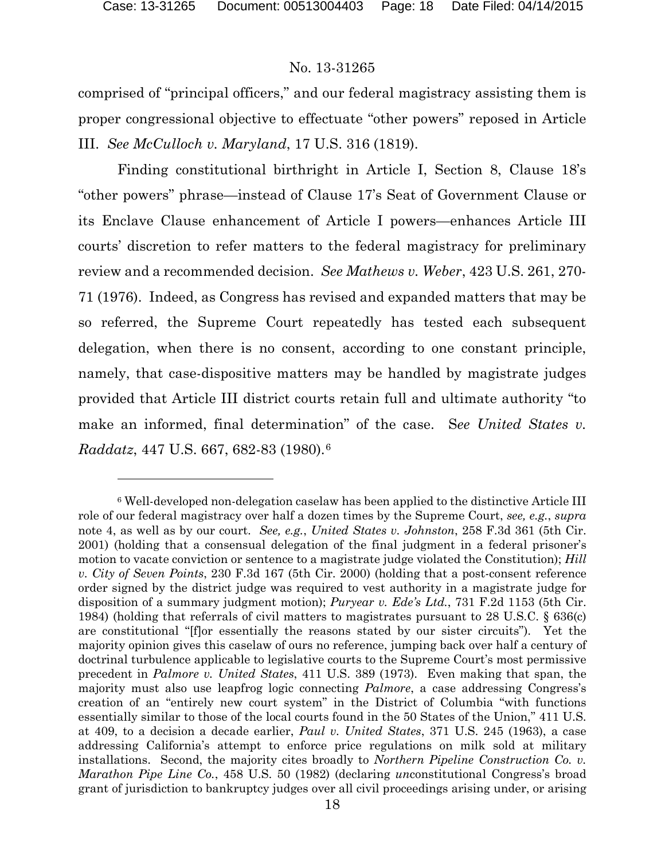## No. 13-31265

comprised of "principal officers," and our federal magistracy assisting them is proper congressional objective to effectuate "other powers" reposed in Article III. *See McCulloch v. Maryland*, 17 U.S. 316 (1819).

Finding constitutional birthright in Article I, Section 8, Clause 18's "other powers" phrase—instead of Clause 17's Seat of Government Clause or its Enclave Clause enhancement of Article I powers—enhances Article III courts' discretion to refer matters to the federal magistracy for preliminary review and a recommended decision. *See Mathews v. Weber*, 423 U.S. 261, 270- 71 (1976). Indeed, as Congress has revised and expanded matters that may be so referred, the Supreme Court repeatedly has tested each subsequent delegation, when there is no consent, according to one constant principle, namely, that case-dispositive matters may be handled by magistrate judges provided that Article III district courts retain full and ultimate authority "to make an informed, final determination" of the case. See United States v. *Raddatz*, 447 U.S. 667, 682-83 (1980).[6](#page-17-0) 

<span id="page-17-0"></span><sup>6</sup> Well-developed non-delegation caselaw has been applied to the distinctive Article III role of our federal magistracy over half a dozen times by the Supreme Court, *see, e.g.*, *supra* note 4, as well as by our court. *See, e.g.*, *United States v. Johnston*, 258 F.3d 361 (5th Cir. 2001) (holding that a consensual delegation of the final judgment in a federal prisoner's motion to vacate conviction or sentence to a magistrate judge violated the Constitution); *Hill v. City of Seven Points*, 230 F.3d 167 (5th Cir. 2000) (holding that a post-consent reference order signed by the district judge was required to vest authority in a magistrate judge for disposition of a summary judgment motion); *Puryear v. Ede's Ltd.*, 731 F.2d 1153 (5th Cir. 1984) (holding that referrals of civil matters to magistrates pursuant to 28 U.S.C. § 636(c) are constitutional "[f]or essentially the reasons stated by our sister circuits"). Yet the majority opinion gives this caselaw of ours no reference, jumping back over half a century of doctrinal turbulence applicable to legislative courts to the Supreme Court's most permissive precedent in *Palmore v. United States*, 411 U.S. 389 (1973). Even making that span, the majority must also use leapfrog logic connecting *Palmore*, a case addressing Congress's creation of an "entirely new court system" in the District of Columbia "with functions essentially similar to those of the local courts found in the 50 States of the Union," 411 U.S. at 409, to a decision a decade earlier, *Paul v. United States*, 371 U.S. 245 (1963), a case addressing California's attempt to enforce price regulations on milk sold at military installations. Second, the majority cites broadly to *Northern Pipeline Construction Co. v. Marathon Pipe Line Co.*, 458 U.S. 50 (1982) (declaring *un*constitutional Congress's broad grant of jurisdiction to bankruptcy judges over all civil proceedings arising under, or arising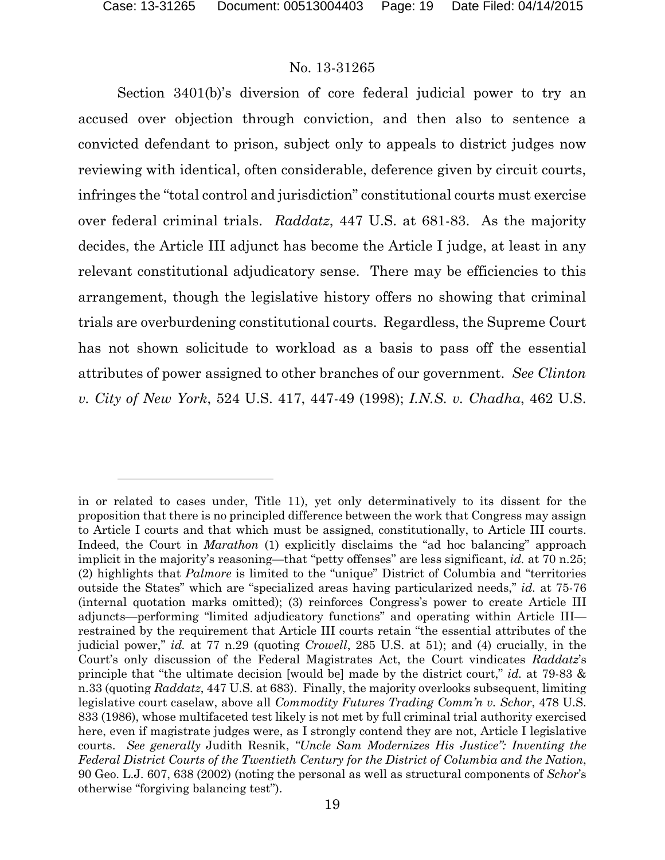#### No. 13-31265

Section 3401(b)'s diversion of core federal judicial power to try an accused over objection through conviction, and then also to sentence a convicted defendant to prison, subject only to appeals to district judges now reviewing with identical, often considerable, deference given by circuit courts, infringes the "total control and jurisdiction" constitutional courts must exercise over federal criminal trials. *Raddatz*, 447 U.S. at 681-83. As the majority decides, the Article III adjunct has become the Article I judge, at least in any relevant constitutional adjudicatory sense. There may be efficiencies to this arrangement, though the legislative history offers no showing that criminal trials are overburdening constitutional courts. Regardless, the Supreme Court has not shown solicitude to workload as a basis to pass off the essential attributes of power assigned to other branches of our government. *See Clinton v. City of New York*, 524 U.S. 417, 447-49 (1998); *I.N.S. v. Chadha*, 462 U.S.

in or related to cases under, Title 11), yet only determinatively to its dissent for the proposition that there is no principled difference between the work that Congress may assign to Article I courts and that which must be assigned, constitutionally, to Article III courts. Indeed, the Court in *Marathon* (1) explicitly disclaims the "ad hoc balancing" approach implicit in the majority's reasoning—that "petty offenses" are less significant, *id.* at 70 n.25; (2) highlights that *Palmore* is limited to the "unique" District of Columbia and "territories outside the States" which are "specialized areas having particularized needs," *id.* at 75-76 (internal quotation marks omitted); (3) reinforces Congress's power to create Article III adjuncts—performing "limited adjudicatory functions" and operating within Article III restrained by the requirement that Article III courts retain "the essential attributes of the judicial power," *id.* at 77 n.29 (quoting *Crowell*, 285 U.S. at 51); and (4) crucially, in the Court's only discussion of the Federal Magistrates Act, the Court vindicates *Raddatz*'s principle that "the ultimate decision [would be] made by the district court," *id.* at 79-83 & n.33 (quoting *Raddatz*, 447 U.S. at 683). Finally, the majority overlooks subsequent, limiting legislative court caselaw, above all *Commodity Futures Trading Comm'n v. Schor*, 478 U.S. 833 (1986), whose multifaceted test likely is not met by full criminal trial authority exercised here, even if magistrate judges were, as I strongly contend they are not, Article I legislative courts. *See generally* Judith Resnik, *"Uncle Sam Modernizes His Justice": Inventing the Federal District Courts of the Twentieth Century for the District of Columbia and the Nation*, 90 Geo. L.J. 607, 638 (2002) (noting the personal as well as structural components of *Schor*'s otherwise "forgiving balancing test").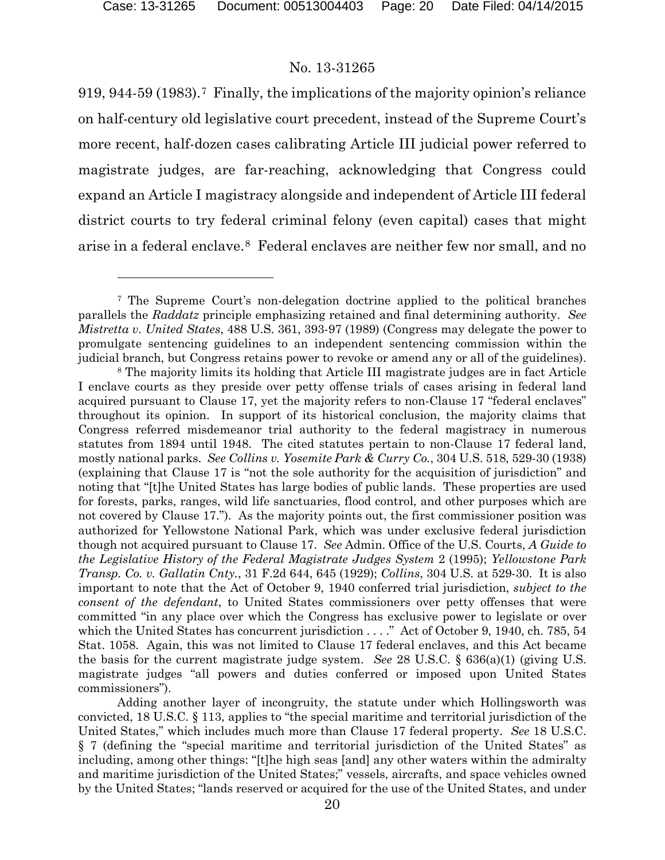l

#### No. 13-31265

919, 944-59 (1983).[7](#page-19-0) Finally, the implications of the majority opinion's reliance on half-century old legislative court precedent, instead of the Supreme Court's more recent, half-dozen cases calibrating Article III judicial power referred to magistrate judges, are far-reaching, acknowledging that Congress could expand an Article I magistracy alongside and independent of Article III federal district courts to try federal criminal felony (even capital) cases that might arise in a federal enclave.[8](#page-19-1) Federal enclaves are neither few nor small, and no

<span id="page-19-0"></span><sup>7</sup> The Supreme Court's non-delegation doctrine applied to the political branches parallels the *Raddatz* principle emphasizing retained and final determining authority. *See Mistretta v. United States*, 488 U.S. 361, 393-97 (1989) (Congress may delegate the power to promulgate sentencing guidelines to an independent sentencing commission within the judicial branch, but Congress retains power to revoke or amend any or all of the guidelines).

<span id="page-19-1"></span><sup>&</sup>lt;sup>8</sup> The majority limits its holding that Article III magistrate judges are in fact Article I enclave courts as they preside over petty offense trials of cases arising in federal land acquired pursuant to Clause 17, yet the majority refers to non-Clause 17 "federal enclaves" throughout its opinion. In support of its historical conclusion, the majority claims that Congress referred misdemeanor trial authority to the federal magistracy in numerous statutes from 1894 until 1948. The cited statutes pertain to non-Clause 17 federal land, mostly national parks. *See Collins v. Yosemite Park & Curry Co.*, 304 U.S. 518, 529-30 (1938) (explaining that Clause 17 is "not the sole authority for the acquisition of jurisdiction" and noting that "[t]he United States has large bodies of public lands. These properties are used for forests, parks, ranges, wild life sanctuaries, flood control, and other purposes which are not covered by Clause 17."). As the majority points out, the first commissioner position was authorized for Yellowstone National Park, which was under exclusive federal jurisdiction though not acquired pursuant to Clause 17. *See* Admin. Office of the U.S. Courts, *A Guide to the Legislative History of the Federal Magistrate Judges System* 2 (1995); *Yellowstone Park Transp. Co. v. Gallatin Cnty.*, 31 F.2d 644, 645 (1929); *Collins*, 304 U.S. at 529-30. It is also important to note that the Act of October 9, 1940 conferred trial jurisdiction, *subject to the consent of the defendant*, to United States commissioners over petty offenses that were committed "in any place over which the Congress has exclusive power to legislate or over which the United States has concurrent jurisdiction . . . ." Act of October 9, 1940, ch. 785, 54 Stat. 1058. Again, this was not limited to Clause 17 federal enclaves, and this Act became the basis for the current magistrate judge system. *See* 28 U.S.C. § 636(a)(1) (giving U.S. magistrate judges "all powers and duties conferred or imposed upon United States commissioners").

Adding another layer of incongruity, the statute under which Hollingsworth was convicted, 18 U.S.C. § 113, applies to "the special maritime and territorial jurisdiction of the United States," which includes much more than Clause 17 federal property. *See* 18 U.S.C. § 7 (defining the "special maritime and territorial jurisdiction of the United States" as including, among other things: "[t]he high seas [and] any other waters within the admiralty and maritime jurisdiction of the United States;" vessels, aircrafts, and space vehicles owned by the United States; "lands reserved or acquired for the use of the United States, and under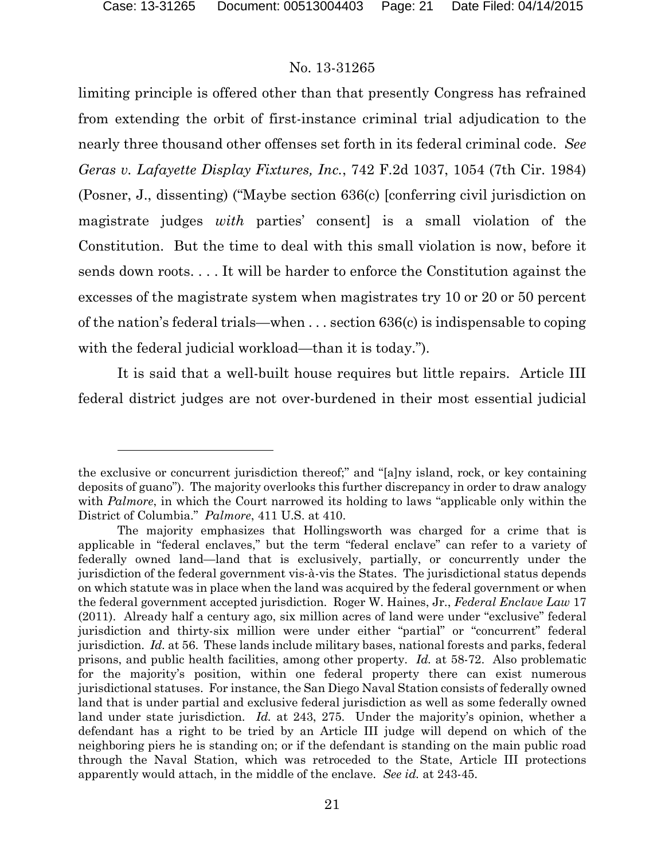l

#### No. 13-31265

limiting principle is offered other than that presently Congress has refrained from extending the orbit of first-instance criminal trial adjudication to the nearly three thousand other offenses set forth in its federal criminal code. *See Geras v. Lafayette Display Fixtures, Inc.*, 742 F.2d 1037, 1054 (7th Cir. 1984) (Posner, J., dissenting) ("Maybe section 636(c) [conferring civil jurisdiction on magistrate judges *with* parties' consent] is a small violation of the Constitution. But the time to deal with this small violation is now, before it sends down roots. . . . It will be harder to enforce the Constitution against the excesses of the magistrate system when magistrates try 10 or 20 or 50 percent of the nation's federal trials—when . . . section 636(c) is indispensable to coping with the federal judicial workload—than it is today.").

It is said that a well-built house requires but little repairs. Article III federal district judges are not over-burdened in their most essential judicial

the exclusive or concurrent jurisdiction thereof;" and "[a]ny island, rock, or key containing deposits of guano"). The majority overlooks this further discrepancy in order to draw analogy with *Palmore*, in which the Court narrowed its holding to laws "applicable only within the District of Columbia." *Palmore*, 411 U.S. at 410.

The majority emphasizes that Hollingsworth was charged for a crime that is applicable in "federal enclaves," but the term "federal enclave" can refer to a variety of federally owned land—land that is exclusively, partially, or concurrently under the jurisdiction of the federal government vis-à-vis the States. The jurisdictional status depends on which statute was in place when the land was acquired by the federal government or when the federal government accepted jurisdiction. Roger W. Haines, Jr., *Federal Enclave Law* 17 (2011). Already half a century ago, six million acres of land were under "exclusive" federal jurisdiction and thirty-six million were under either "partial" or "concurrent" federal jurisdiction. *Id.* at 56. These lands include military bases, national forests and parks, federal prisons, and public health facilities, among other property. *Id.* at 58-72. Also problematic for the majority's position, within one federal property there can exist numerous jurisdictional statuses. For instance, the San Diego Naval Station consists of federally owned land that is under partial and exclusive federal jurisdiction as well as some federally owned land under state jurisdiction. *Id.* at 243, 275. Under the majority's opinion, whether a defendant has a right to be tried by an Article III judge will depend on which of the neighboring piers he is standing on; or if the defendant is standing on the main public road through the Naval Station, which was retroceded to the State, Article III protections apparently would attach, in the middle of the enclave. *See id.* at 243-45.